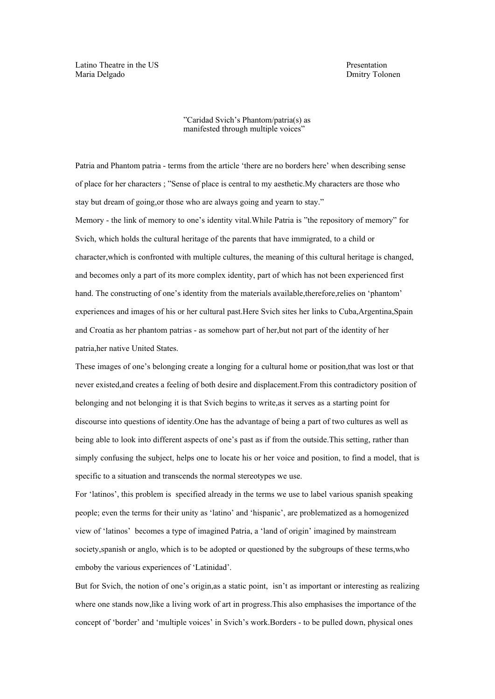Latino Theatre in the US **Presentation** Maria Delgado Dmitry Tolonen

"Caridad Svich's Phantom/patria(s) as manifested through multiple voices"

Patria and Phantom patria - terms from the article 'there are no borders here' when describing sense of place for her characters ; "Sense of place is central to my aesthetic.My characters are those who stay but dream of going,or those who are always going and yearn to stay." Memory - the link of memory to one's identity vital.While Patria is "the repository of memory" for Svich, which holds the cultural heritage of the parents that have immigrated, to a child or character,which is confronted with multiple cultures, the meaning of this cultural heritage is changed, and becomes only a part of its more complex identity, part of which has not been experienced first hand. The constructing of one's identity from the materials available,therefore,relies on 'phantom' experiences and images of his or her cultural past.Here Svich sites her links to Cuba,Argentina,Spain and Croatia as her phantom patrias - as somehow part of her,but not part of the identity of her patria,her native United States.

These images of one's belonging create a longing for a cultural home or position,that was lost or that never existed,and creates a feeling of both desire and displacement.From this contradictory position of belonging and not belonging it is that Svich begins to write,as it serves as a starting point for discourse into questions of identity.One has the advantage of being a part of two cultures as well as being able to look into different aspects of one's past as if from the outside.This setting, rather than simply confusing the subject, helps one to locate his or her voice and position, to find a model, that is specific to a situation and transcends the normal stereotypes we use.

For 'latinos', this problem is specified already in the terms we use to label various spanish speaking people; even the terms for their unity as 'latino' and 'hispanic', are problematized as a homogenized view of 'latinos' becomes a type of imagined Patria, a 'land of origin' imagined by mainstream society,spanish or anglo, which is to be adopted or questioned by the subgroups of these terms,who emboby the various experiences of 'Latinidad'.

But for Svich, the notion of one's origin,as a static point, isn't as important or interesting as realizing where one stands now,like a living work of art in progress.This also emphasises the importance of the concept of 'border' and 'multiple voices' in Svich's work.Borders - to be pulled down, physical ones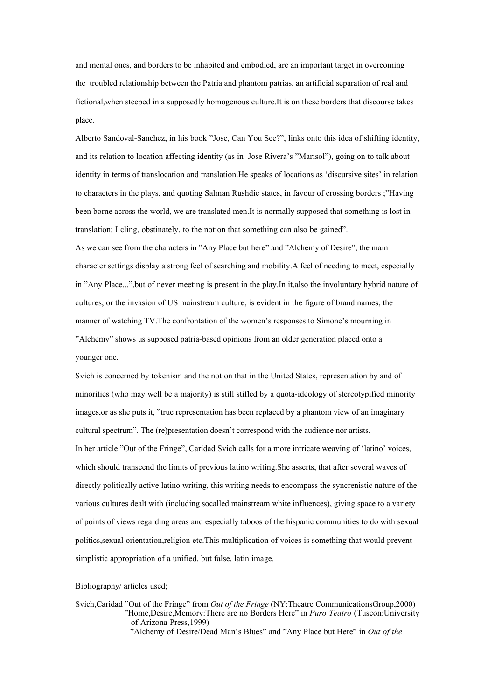and mental ones, and borders to be inhabited and embodied, are an important target in overcoming the troubled relationship between the Patria and phantom patrias, an artificial separation of real and fictional,when steeped in a supposedly homogenous culture.It is on these borders that discourse takes place.

Alberto Sandoval-Sanchez, in his book "Jose, Can You See?", links onto this idea of shifting identity, and its relation to location affecting identity (as in Jose Rivera's "Marisol"), going on to talk about identity in terms of translocation and translation.He speaks of locations as 'discursive sites' in relation to characters in the plays, and quoting Salman Rushdie states, in favour of crossing borders ;"Having been borne across the world, we are translated men.It is normally supposed that something is lost in translation; I cling, obstinately, to the notion that something can also be gained".

As we can see from the characters in "Any Place but here" and "Alchemy of Desire", the main character settings display a strong feel of searching and mobility.A feel of needing to meet, especially in "Any Place...",but of never meeting is present in the play.In it,also the involuntary hybrid nature of cultures, or the invasion of US mainstream culture, is evident in the figure of brand names, the manner of watching TV.The confrontation of the women's responses to Simone's mourning in "Alchemy" shows us supposed patria-based opinions from an older generation placed onto a younger one.

Svich is concerned by tokenism and the notion that in the United States, representation by and of minorities (who may well be a majority) is still stifled by a quota-ideology of stereotypified minority images,or as she puts it, "true representation has been replaced by a phantom view of an imaginary cultural spectrum". The (re)presentation doesn't correspond with the audience nor artists. In her article "Out of the Fringe", Caridad Svich calls for a more intricate weaving of 'latino' voices, which should transcend the limits of previous latino writing.She asserts, that after several waves of directly politically active latino writing, this writing needs to encompass the syncrenistic nature of the various cultures dealt with (including socalled mainstream white influences), giving space to a variety of points of views regarding areas and especially taboos of the hispanic communities to do with sexual politics,sexual orientation,religion etc.This multiplication of voices is something that would prevent simplistic appropriation of a unified, but false, latin image.

## Bibliography/ articles used;

Svich,Caridad "Out of the Fringe" from *Out of the Fringe* (NY:Theatre CommunicationsGroup,2000) "Home,Desire,Memory:There are no Borders Here" in *Puro Teatro* (Tuscon:University of Arizona Press,1999)

 <sup>&</sup>quot;Alchemy of Desire/Dead Man's Blues" and "Any Place but Here" in *Out of the*